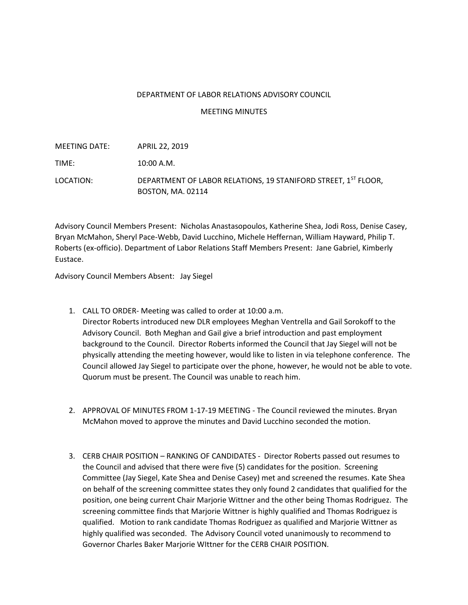## DEPARTMENT OF LABOR RELATIONS ADVISORY COUNCIL

## MEETING MINUTES

| MEETING DATE: | APRIL 22, 2019                                                                             |
|---------------|--------------------------------------------------------------------------------------------|
| TIME:         | 10:00 A.M.                                                                                 |
| LOCATION:     | DEPARTMENT OF LABOR RELATIONS, 19 STANIFORD STREET, 1ST FLOOR,<br><b>BOSTON, MA. 02114</b> |

Advisory Council Members Present: Nicholas Anastasopoulos, Katherine Shea, Jodi Ross, Denise Casey, Bryan McMahon, Sheryl Pace-Webb, David Lucchino, Michele Heffernan, William Hayward, Philip T. Roberts (ex-officio). Department of Labor Relations Staff Members Present: Jane Gabriel, Kimberly Eustace.

Advisory Council Members Absent: Jay Siegel

- 1. CALL TO ORDER- Meeting was called to order at 10:00 a.m. Director Roberts introduced new DLR employees Meghan Ventrella and Gail Sorokoff to the Advisory Council. Both Meghan and Gail give a brief introduction and past employment background to the Council. Director Roberts informed the Council that Jay Siegel will not be physically attending the meeting however, would like to listen in via telephone conference. The Council allowed Jay Siegel to participate over the phone, however, he would not be able to vote. Quorum must be present. The Council was unable to reach him.
- 2. APPROVAL OF MINUTES FROM 1-17-19 MEETING The Council reviewed the minutes. Bryan McMahon moved to approve the minutes and David Lucchino seconded the motion.
- 3. CERB CHAIR POSITION RANKING OF CANDIDATES Director Roberts passed out resumes to the Council and advised that there were five (5) candidates for the position. Screening Committee (Jay Siegel, Kate Shea and Denise Casey) met and screened the resumes. Kate Shea on behalf of the screening committee states they only found 2 candidates that qualified for the position, one being current Chair Marjorie Wittner and the other being Thomas Rodriguez. The screening committee finds that Marjorie Wittner is highly qualified and Thomas Rodriguez is qualified. Motion to rank candidate Thomas Rodriguez as qualified and Marjorie Wittner as highly qualified was seconded. The Advisory Council voted unanimously to recommend to Governor Charles Baker Marjorie WIttner for the CERB CHAIR POSITION.